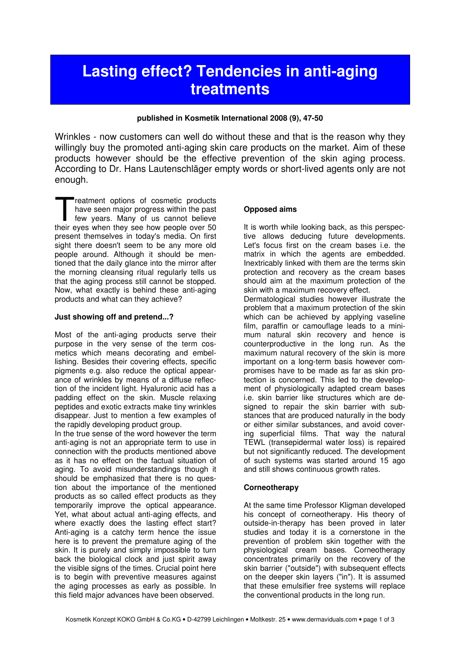# Lasting effect? Tendencies in anti-aging treatments

## published in Kosmetik International 2008 (9), 47-50

Wrinkles - now customers can well do without these and that is the reason why they willingly buy the promoted anti-aging skin care products on the market. Aim of these products however should be the effective prevention of the skin aging process. According to Dr. Hans Lautenschläger empty words or short-lived agents only are not enough.

reatment options of cosmetic products have seen major progress within the past few years. Many of us cannot believe reatment options of cosmetic products<br>have seen major progress within the past<br>few years. Many of us cannot believe<br>their eyes when they see how people over 50 present themselves in today's media. On first sight there doesn't seem to be any more old people around. Although it should be mentioned that the daily glance into the mirror after the morning cleansing ritual regularly tells us that the aging process still cannot be stopped. Now, what exactly is behind these anti-aging products and what can they achieve?

## Just showing off and pretend...?

Most of the anti-aging products serve their purpose in the very sense of the term cosmetics which means decorating and embellishing. Besides their covering effects, specific pigments e.g. also reduce the optical appearance of wrinkles by means of a diffuse reflection of the incident light. Hyaluronic acid has a padding effect on the skin. Muscle relaxing peptides and exotic extracts make tiny wrinkles disappear. Just to mention a few examples of the rapidly developing product group.

In the true sense of the word however the term anti-aging is not an appropriate term to use in connection with the products mentioned above as it has no effect on the factual situation of aging. To avoid misunderstandings though it should be emphasized that there is no question about the importance of the mentioned products as so called effect products as they temporarily improve the optical appearance. Yet, what about actual anti-aging effects, and where exactly does the lasting effect start? Anti-aging is a catchy term hence the issue here is to prevent the premature aging of the skin. It is purely and simply impossible to turn back the biological clock and just spirit away the visible signs of the times. Crucial point here is to begin with preventive measures against the aging processes as early as possible. In this field major advances have been observed.

## Opposed aims

It is worth while looking back, as this perspective allows deducing future developments. Let's focus first on the cream bases i.e. the matrix in which the agents are embedded. Inextricably linked with them are the terms skin protection and recovery as the cream bases should aim at the maximum protection of the skin with a maximum recovery effect.

Dermatological studies however illustrate the problem that a maximum protection of the skin which can be achieved by applying vaseline film, paraffin or camouflage leads to a minimum natural skin recovery and hence is counterproductive in the long run. As the maximum natural recovery of the skin is more important on a long-term basis however compromises have to be made as far as skin protection is concerned. This led to the development of physiologically adapted cream bases i.e. skin barrier like structures which are designed to repair the skin barrier with substances that are produced naturally in the body or either similar substances, and avoid covering superficial films. That way the natural TEWL (transepidermal water loss) is repaired but not significantly reduced. The development of such systems was started around 15 ago and still shows continuous growth rates.

## **Corneotherapy**

At the same time Professor Kligman developed his concept of corneotherapy. His theory of outside-in-therapy has been proved in later studies and today it is a cornerstone in the prevention of problem skin together with the physiological cream bases. Corneotherapy concentrates primarily on the recovery of the skin barrier ("outside") with subsequent effects on the deeper skin layers ("in"). It is assumed that these emulsifier free systems will replace the conventional products in the long run.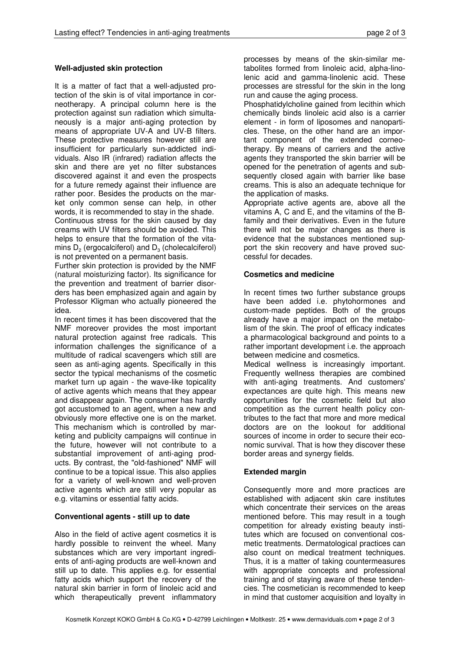# Well-adjusted skin protection

It is a matter of fact that a well-adjusted protection of the skin is of vital importance in corneotherapy. A principal column here is the protection against sun radiation which simultaneously is a major anti-aging protection by means of appropriate UV-A and UV-B filters. These protective measures however still are insufficient for particularly sun-addicted individuals. Also IR (infrared) radiation affects the skin and there are yet no filter substances discovered against it and even the prospects for a future remedy against their influence are rather poor. Besides the products on the market only common sense can help, in other words, it is recommended to stay in the shade. Continuous stress for the skin caused by day creams with UV filters should be avoided. This helps to ensure that the formation of the vitamins  $D_2$  (ergocalciferol) and  $D_3$  (cholecalciferol) is not prevented on a permanent basis.

Further skin protection is provided by the NMF (natural moisturizing factor). Its significance for the prevention and treatment of barrier disorders has been emphasized again and again by Professor Kligman who actually pioneered the idea.

In recent times it has been discovered that the NMF moreover provides the most important natural protection against free radicals. This information challenges the significance of a multitude of radical scavengers which still are seen as anti-aging agents. Specifically in this sector the typical mechanisms of the cosmetic market turn up again - the wave-like topicality of active agents which means that they appear and disappear again. The consumer has hardly got accustomed to an agent, when a new and obviously more effective one is on the market. This mechanism which is controlled by marketing and publicity campaigns will continue in the future, however will not contribute to a substantial improvement of anti-aging products. By contrast, the "old-fashioned" NMF will continue to be a topical issue. This also applies for a variety of well-known and well-proven active agents which are still very popular as e.g. vitamins or essential fatty acids.

# Conventional agents - still up to date

Also in the field of active agent cosmetics it is hardly possible to reinvent the wheel. Many substances which are very important ingredients of anti-aging products are well-known and still up to date. This applies e.g. for essential fatty acids which support the recovery of the natural skin barrier in form of linoleic acid and which therapeutically prevent inflammatory

processes by means of the skin-similar metabolites formed from linoleic acid, alpha-linolenic acid and gamma-linolenic acid. These processes are stressful for the skin in the long run and cause the aging process.

Phosphatidylcholine gained from lecithin which chemically binds linoleic acid also is a carrier element - in form of liposomes and nanoparticles. These, on the other hand are an important component of the extended corneotherapy. By means of carriers and the active agents they transported the skin barrier will be opened for the penetration of agents and subsequently closed again with barrier like base creams. This is also an adequate technique for the application of masks.

Appropriate active agents are, above all the vitamins A, C and E, and the vitamins of the Bfamily and their derivatives. Even in the future there will not be major changes as there is evidence that the substances mentioned support the skin recovery and have proved successful for decades.

## Cosmetics and medicine

In recent times two further substance groups have been added i.e. phytohormones and custom-made peptides. Both of the groups already have a major impact on the metabolism of the skin. The proof of efficacy indicates a pharmacological background and points to a rather important development i.e. the approach between medicine and cosmetics.

Medical wellness is increasingly important. Frequently wellness therapies are combined with anti-aging treatments. And customers' expectances are quite high. This means new opportunities for the cosmetic field but also competition as the current health policy contributes to the fact that more and more medical doctors are on the lookout for additional sources of income in order to secure their economic survival. That is how they discover these border areas and synergy fields.

# Extended margin

Consequently more and more practices are established with adjacent skin care institutes which concentrate their services on the areas mentioned before. This may result in a tough competition for already existing beauty institutes which are focused on conventional cosmetic treatments. Dermatological practices can also count on medical treatment techniques. Thus, it is a matter of taking countermeasures with appropriate concepts and professional training and of staying aware of these tendencies. The cosmetician is recommended to keep in mind that customer acquisition and loyalty in